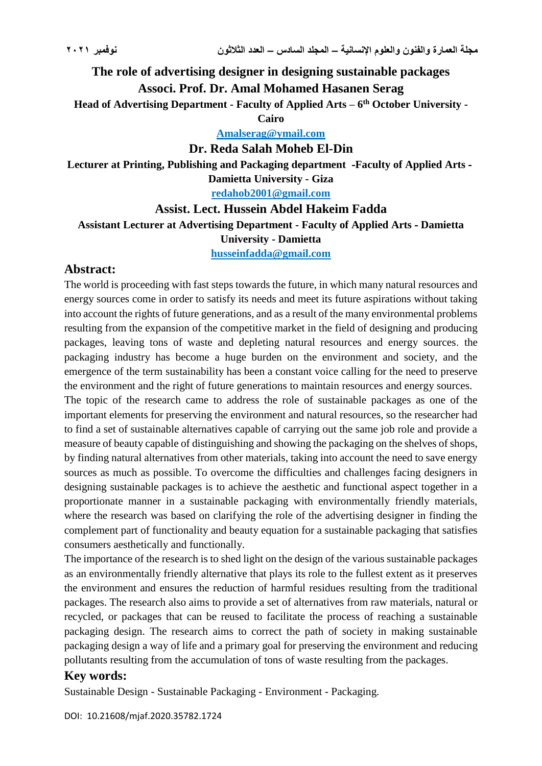# **The role of advertising designer in designing sustainable packages Associ. Prof. Dr. Amal Mohamed Hasanen Serag**

**Head of Advertising Department - Faculty of Applied Arts – 6 th October University -**

**Cairo**

**Amalserag@ymail.com**

**Dr. Reda Salah Moheb El-Din**

**Lecturer at Printing, Publishing and Packaging department -Faculty of Applied Arts - Damietta University - Giza**

**[redahob2001@gmail.com](mailto:redahob2001@gmail.com)**

# **Assist. Lect. Hussein Abdel Hakeim Fadda Assistant Lecturer at Advertising Department - Faculty of Applied Arts - Damietta University - Damietta**

**[husseinfadda@gmail.com](mailto:husseinfadda@gmail.com)**

## **Abstract:**

The world is proceeding with fast steps towards the future, in which many natural resources and energy sources come in order to satisfy its needs and meet its future aspirations without taking into account the rights of future generations, and as a result of the many environmental problems resulting from the expansion of the competitive market in the field of designing and producing packages, leaving tons of waste and depleting natural resources and energy sources. the packaging industry has become a huge burden on the environment and society, and the emergence of the term sustainability has been a constant voice calling for the need to preserve the environment and the right of future generations to maintain resources and energy sources.

The topic of the research came to address the role of sustainable packages as one of the important elements for preserving the environment and natural resources, so the researcher had to find a set of sustainable alternatives capable of carrying out the same job role and provide a measure of beauty capable of distinguishing and showing the packaging on the shelves of shops, by finding natural alternatives from other materials, taking into account the need to save energy sources as much as possible. To overcome the difficulties and challenges facing designers in designing sustainable packages is to achieve the aesthetic and functional aspect together in a proportionate manner in a sustainable packaging with environmentally friendly materials, where the research was based on clarifying the role of the advertising designer in finding the complement part of functionality and beauty equation for a sustainable packaging that satisfies consumers aesthetically and functionally.

The importance of the research is to shed light on the design of the various sustainable packages as an environmentally friendly alternative that plays its role to the fullest extent as it preserves the environment and ensures the reduction of harmful residues resulting from the traditional packages. The research also aims to provide a set of alternatives from raw materials, natural or recycled, or packages that can be reused to facilitate the process of reaching a sustainable packaging design. The research aims to correct the path of society in making sustainable packaging design a way of life and a primary goal for preserving the environment and reducing pollutants resulting from the accumulation of tons of waste resulting from the packages.

## **Key words:**

Sustainable Design - Sustainable Packaging - Environment - Packaging.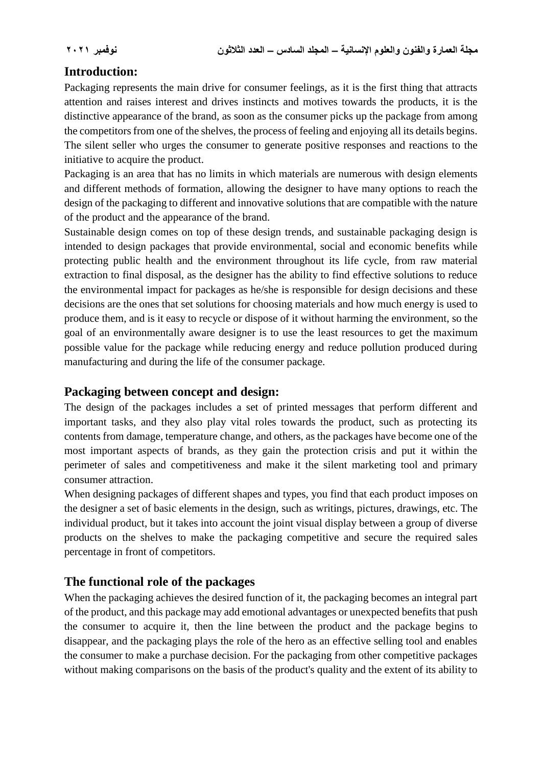## **Introduction:**

Packaging represents the main drive for consumer feelings, as it is the first thing that attracts attention and raises interest and drives instincts and motives towards the products, it is the distinctive appearance of the brand, as soon as the consumer picks up the package from among the competitors from one of the shelves, the process of feeling and enjoying all its details begins. The silent seller who urges the consumer to generate positive responses and reactions to the initiative to acquire the product.

Packaging is an area that has no limits in which materials are numerous with design elements and different methods of formation, allowing the designer to have many options to reach the design of the packaging to different and innovative solutions that are compatible with the nature of the product and the appearance of the brand.

Sustainable design comes on top of these design trends, and sustainable packaging design is intended to design packages that provide environmental, social and economic benefits while protecting public health and the environment throughout its life cycle, from raw material extraction to final disposal, as the designer has the ability to find effective solutions to reduce the environmental impact for packages as he/she is responsible for design decisions and these decisions are the ones that set solutions for choosing materials and how much energy is used to produce them, and is it easy to recycle or dispose of it without harming the environment, so the goal of an environmentally aware designer is to use the least resources to get the maximum possible value for the package while reducing energy and reduce pollution produced during manufacturing and during the life of the consumer package.

#### **Packaging between concept and design:**

The design of the packages includes a set of printed messages that perform different and important tasks, and they also play vital roles towards the product, such as protecting its contents from damage, temperature change, and others, as the packages have become one of the most important aspects of brands, as they gain the protection crisis and put it within the perimeter of sales and competitiveness and make it the silent marketing tool and primary consumer attraction.

When designing packages of different shapes and types, you find that each product imposes on the designer a set of basic elements in the design, such as writings, pictures, drawings, etc. The individual product, but it takes into account the joint visual display between a group of diverse products on the shelves to make the packaging competitive and secure the required sales percentage in front of competitors.

## **The functional role of the packages**

When the packaging achieves the desired function of it, the packaging becomes an integral part of the product, and this package may add emotional advantages or unexpected benefits that push the consumer to acquire it, then the line between the product and the package begins to disappear, and the packaging plays the role of the hero as an effective selling tool and enables the consumer to make a purchase decision. For the packaging from other competitive packages without making comparisons on the basis of the product's quality and the extent of its ability to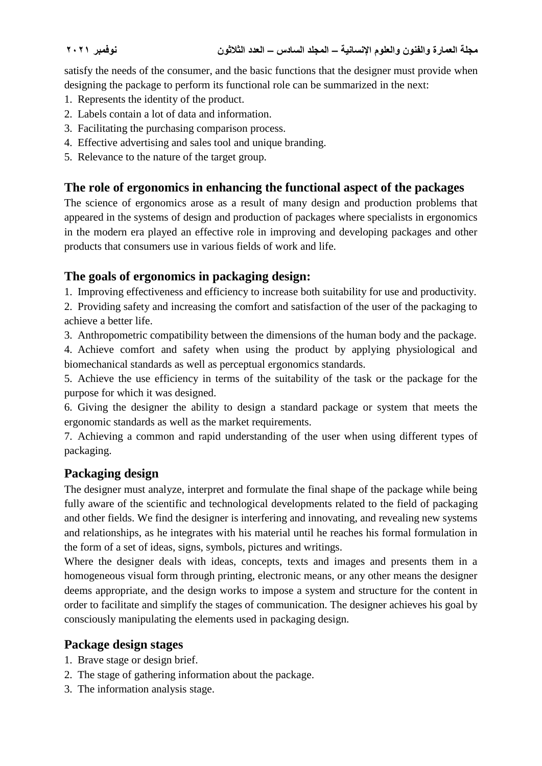satisfy the needs of the consumer, and the basic functions that the designer must provide when designing the package to perform its functional role can be summarized in the next:

- 1. Represents the identity of the product.
- 2. Labels contain a lot of data and information.
- 3. Facilitating the purchasing comparison process.
- 4. Effective advertising and sales tool and unique branding.
- 5. Relevance to the nature of the target group.

## **The role of ergonomics in enhancing the functional aspect of the packages**

The science of ergonomics arose as a result of many design and production problems that appeared in the systems of design and production of packages where specialists in ergonomics in the modern era played an effective role in improving and developing packages and other products that consumers use in various fields of work and life.

## **The goals of ergonomics in packaging design:**

1. Improving effectiveness and efficiency to increase both suitability for use and productivity.

2. Providing safety and increasing the comfort and satisfaction of the user of the packaging to achieve a better life.

3. Anthropometric compatibility between the dimensions of the human body and the package.

4. Achieve comfort and safety when using the product by applying physiological and biomechanical standards as well as perceptual ergonomics standards.

5. Achieve the use efficiency in terms of the suitability of the task or the package for the purpose for which it was designed.

6. Giving the designer the ability to design a standard package or system that meets the ergonomic standards as well as the market requirements.

7. Achieving a common and rapid understanding of the user when using different types of packaging.

## **Packaging design**

The designer must analyze, interpret and formulate the final shape of the package while being fully aware of the scientific and technological developments related to the field of packaging and other fields. We find the designer is interfering and innovating, and revealing new systems and relationships, as he integrates with his material until he reaches his formal formulation in the form of a set of ideas, signs, symbols, pictures and writings.

Where the designer deals with ideas, concepts, texts and images and presents them in a homogeneous visual form through printing, electronic means, or any other means the designer deems appropriate, and the design works to impose a system and structure for the content in order to facilitate and simplify the stages of communication. The designer achieves his goal by consciously manipulating the elements used in packaging design.

## **Package design stages**

- 1. Brave stage or design brief.
- 2. The stage of gathering information about the package.
- 3. The information analysis stage.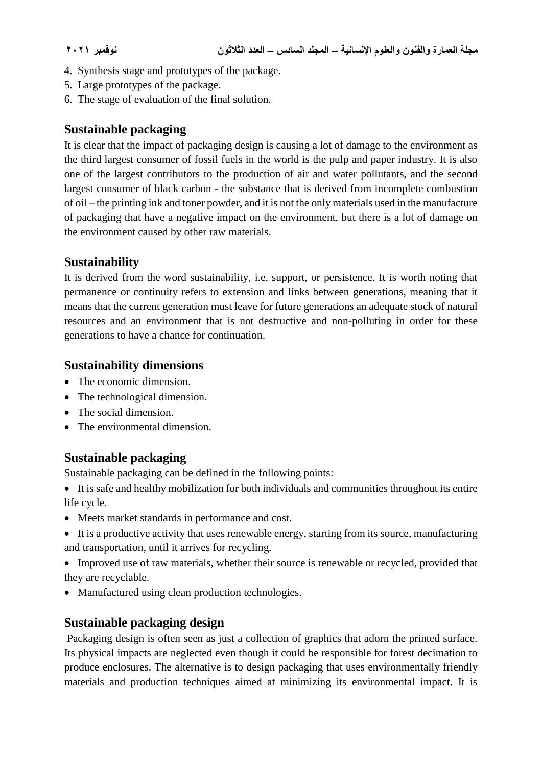- 4. Synthesis stage and prototypes of the package.
- 5. Large prototypes of the package.
- 6. The stage of evaluation of the final solution.

### **Sustainable packaging**

It is clear that the impact of packaging design is causing a lot of damage to the environment as the third largest consumer of fossil fuels in the world is the pulp and paper industry. It is also one of the largest contributors to the production of air and water pollutants, and the second largest consumer of black carbon - the substance that is derived from incomplete combustion of oil – the printing ink and toner powder, and it is not the only materials used in the manufacture of packaging that have a negative impact on the environment, but there is a lot of damage on the environment caused by other raw materials.

### **Sustainability**

It is derived from the word sustainability, i.e. support, or persistence. It is worth noting that permanence or continuity refers to extension and links between generations, meaning that it means that the current generation must leave for future generations an adequate stock of natural resources and an environment that is not destructive and non-polluting in order for these generations to have a chance for continuation.

### **Sustainability dimensions**

- The economic dimension.
- The technological dimension.
- The social dimension.
- The environmental dimension.

## **Sustainable packaging**

Sustainable packaging can be defined in the following points:

- It is safe and healthy mobilization for both individuals and communities throughout its entire life cycle.
- Meets market standards in performance and cost.
- It is a productive activity that uses renewable energy, starting from its source, manufacturing and transportation, until it arrives for recycling.
- Improved use of raw materials, whether their source is renewable or recycled, provided that they are recyclable.
- Manufactured using clean production technologies.

## **Sustainable packaging design**

Packaging design is often seen as just a collection of graphics that adorn the printed surface. Its physical impacts are neglected even though it could be responsible for forest decimation to produce enclosures. The alternative is to design packaging that uses environmentally friendly materials and production techniques aimed at minimizing its environmental impact. It is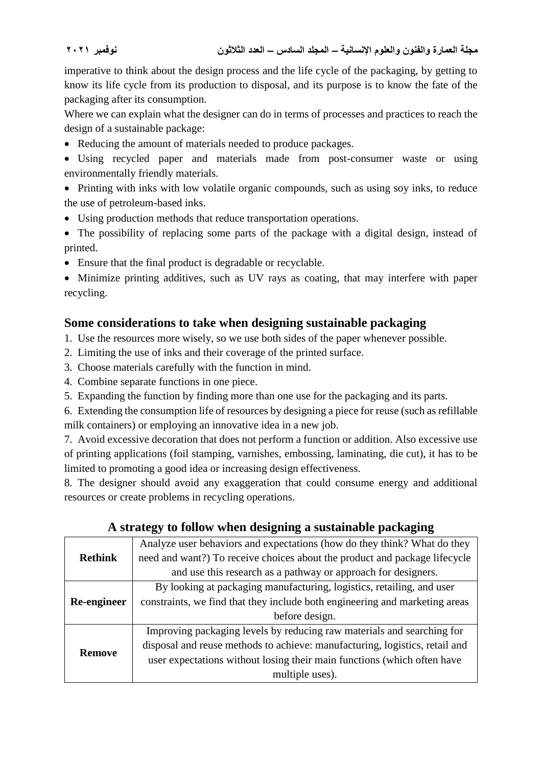imperative to think about the design process and the life cycle of the packaging, by getting to know its life cycle from its production to disposal, and its purpose is to know the fate of the packaging after its consumption.

Where we can explain what the designer can do in terms of processes and practices to reach the design of a sustainable package:

- Reducing the amount of materials needed to produce packages.
- Using recycled paper and materials made from post-consumer waste or using environmentally friendly materials.
- Printing with inks with low volatile organic compounds, such as using soy inks, to reduce the use of petroleum-based inks.
- Using production methods that reduce transportation operations.
- The possibility of replacing some parts of the package with a digital design, instead of printed.
- Ensure that the final product is degradable or recyclable.

 Minimize printing additives, such as UV rays as coating, that may interfere with paper recycling.

## **Some considerations to take when designing sustainable packaging**

1. Use the resources more wisely, so we use both sides of the paper whenever possible.

- 2. Limiting the use of inks and their coverage of the printed surface.
- 3. Choose materials carefully with the function in mind.
- 4. Combine separate functions in one piece.
- 5. Expanding the function by finding more than one use for the packaging and its parts.

6. Extending the consumption life of resources by designing a piece for reuse (such as refillable milk containers) or employing an innovative idea in a new job.

7. Avoid excessive decoration that does not perform a function or addition. Also excessive use of printing applications (foil stamping, varnishes, embossing, laminating, die cut), it has to be limited to promoting a good idea or increasing design effectiveness.

8. The designer should avoid any exaggeration that could consume energy and additional resources or create problems in recycling operations.

# **A strategy to follow when designing a sustainable packaging**

|                | Analyze user behaviors and expectations (how do they think? What do they    |
|----------------|-----------------------------------------------------------------------------|
| <b>Rethink</b> | need and want?) To receive choices about the product and package lifecycle  |
|                | and use this research as a pathway or approach for designers.               |
|                | By looking at packaging manufacturing, logistics, retailing, and user       |
| Re-engineer    | constraints, we find that they include both engineering and marketing areas |
|                | before design.                                                              |
|                | Improving packaging levels by reducing raw materials and searching for      |
| <b>Remove</b>  | disposal and reuse methods to achieve: manufacturing, logistics, retail and |
|                | user expectations without losing their main functions (which often have     |
|                | multiple uses).                                                             |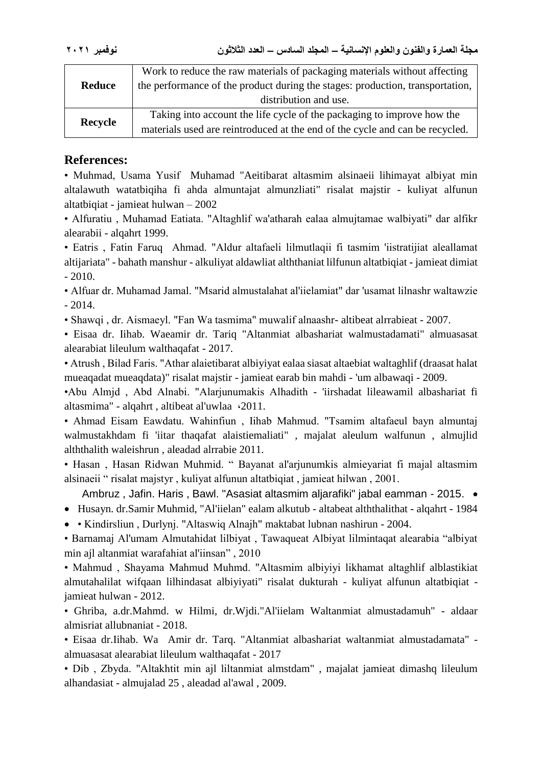| <b>Reduce</b> | Work to reduce the raw materials of packaging materials without affecting<br>the performance of the product during the stages: production, transportation,<br>distribution and use. |
|---------------|-------------------------------------------------------------------------------------------------------------------------------------------------------------------------------------|
| Recycle       | Taking into account the life cycle of the packaging to improve how the<br>materials used are reintroduced at the end of the cycle and can be recycled.                              |

#### **References:**

• Muhmad, Usama Yusif Muhamad "Aeitibarat altasmim alsinaeii lihimayat albiyat min altalawuth watatbiqiha fi ahda almuntajat almunzliati" risalat majstir - kuliyat alfunun altatbiqiat - jamieat hulwan – 2002

• Alfuratiu , Muhamad Eatiata. "Altaghlif wa'atharah ealaa almujtamae walbiyati" dar alfikr alearabii - alqahrt 1999.

• Eatris , Fatin Faruq Ahmad. "Aldur altafaeli lilmutlaqii fi tasmim 'iistratijiat aleallamat altijariata" - bahath manshur - alkuliyat aldawliat alththaniat lilfunun altatbiqiat - jamieat dimiat  $-2010.$ 

• Alfuar dr. Muhamad Jamal. "Msarid almustalahat al'iielamiat" dar 'usamat lilnashr waltawzie - 2014.

• Shawqi , dr. Aismaeyl. "Fan Wa tasmima" muwalif alnaashr- altibeat alrrabieat - 2007.

• Eisaa dr. Iihab. Waeamir dr. Tariq "Altanmiat albashariat walmustadamati" almuasasat alearabiat lileulum walthaqafat - 2017.

• Atrush , Bilad Faris. "Athar alaietibarat albiyiyat ealaa siasat altaebiat waltaghlif (draasat halat mueaqadat mueaqdata)" risalat majstir - jamieat earab bin mahdi - 'um albawaqi - 2009.

•Abu Almjd , Abd Alnabi. "Alarjunumakis Alhadith - 'iirshadat lileawamil albashariat fi altasmima" - alqahrt , altibeat al'uwlaa ،2011.

• Ahmad Eisam Eawdatu. Wahinfiun , Iihab Mahmud. "Tsamim altafaeul bayn almuntaj walmustakhdam fi 'iitar thaqafat alaistiemaliati" , majalat aleulum walfunun , almujlid alththalith waleishrun , aleadad alrrabie 2011.

• Hasan , Hasan Ridwan Muhmid. " Bayanat al'arjunumkis almieyariat fi majal altasmim alsinaeii " risalat majstyr , kuliyat alfunun altatbiqiat , jamieat hilwan , 2001.

Ambruz , Jafin. Haris , Bawl. "Asasiat altasmim aljarafiki" jabal eamman - 2015.

- Husayn. dr.Samir Muhmid, "Al'iielan" ealam alkutub altabeat alththalithat alqahrt 1984
- Kindirsliun , Durlynj. "Altaswiq Alnajh" maktabat lubnan nashirun 2004.

• Barnamaj Al'umam Almutahidat lilbiyat , Tawaqueat Albiyat lilmintaqat alearabia "albiyat min ajl altanmiat warafahiat al'iinsan" , 2010

• Mahmud , Shayama Mahmud Muhmd. "Altasmim albiyiyi likhamat altaghlif alblastikiat almutahalilat wifqaan lilhindasat albiyiyati" risalat dukturah - kuliyat alfunun altatbiqiat jamieat hulwan - 2012.

• Ghriba, a.dr.Mahmd. w Hilmi, dr.Wjdi."Al'iielam Waltanmiat almustadamuh" - aldaar almisriat allubnaniat - 2018.

• Eisaa dr.Iihab. Wa Amir dr. Tarq. "Altanmiat albashariat waltanmiat almustadamata" almuasasat alearabiat lileulum walthaqafat - 2017

• Dib , Zbyda. "Altakhtit min ajl liltanmiat almstdam" , majalat jamieat dimashq lileulum alhandasiat - almujalad 25 , aleadad al'awal , 2009.